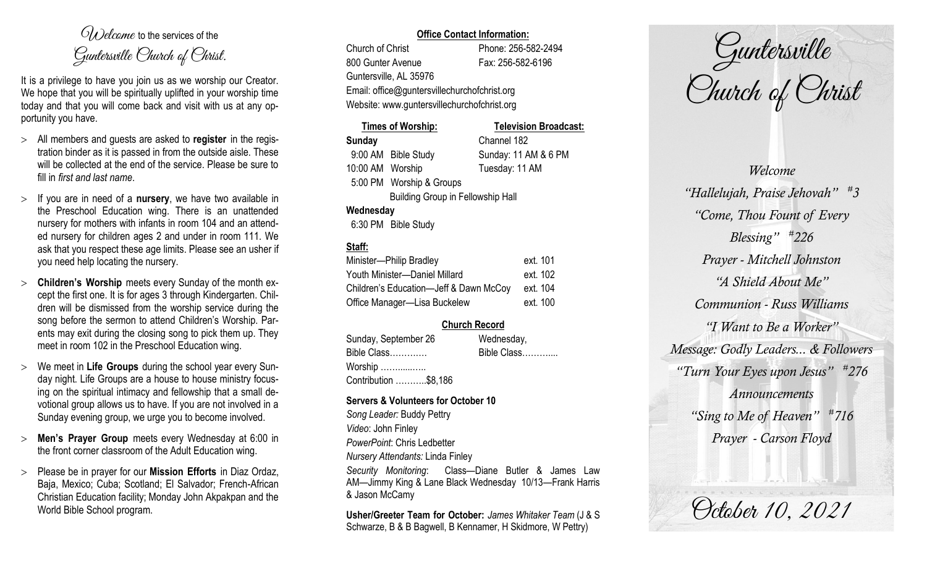$O(\lambda)$  elcame to the services of the Guntersville Church of Christ.

It is a privilege to have you join us as we worship our Creator. We hope that you will be spiritually uplifted in your worship time today and that you will come back and visit with us at any opportunity you have.

- All members and guests are asked to **register** in the registration binder as it is passed in from the outside aisle. These will be collected at the end of the service. Please be sure to fill in *first and last name*.
- $>$  If you are in need of a **nursery**, we have two available in the Preschool Education wing. There is an unattended nursery for mothers with infants in room 104 and an attended nursery for children ages 2 and under in room 111. We ask that you respect these age limits. Please see an usher if you need help locating the nursery.
- **Children's Worship** meets every Sunday of the month except the first one. It is for ages 3 through Kindergarten. Children will be dismissed from the worship service during the song before the sermon to attend Children's Worship. Parents may exit during the closing song to pick them up. They meet in room 102 in the Preschool Education wing.
- We meet in **Life Groups** during the school year every Sunday night. Life Groups are a house to house ministry focusing on the spiritual intimacy and fellowship that a small devotional group allows us to have. If you are not involved in a Sunday evening group, we urge you to become involved.
- **Men's Prayer Group** meets every Wednesday at 6:00 in the front corner classroom of the Adult Education wing.
- Please be in prayer for our **Mission Efforts** in Diaz Ordaz, Baja, Mexico; Cuba; Scotland; El Salvador; French-African Christian Education facility; Monday John Akpakpan and the World Bible School program.

## **Office Contact Information:**

Church of Christ Phone: 256-582-2494 800 Gunter Avenue Fax: 256-582-6196 Guntersville, AL 35976 Website: www.guntersvillechurchofchrist.org

Email: office@guntersvillechurchofchrist.org

|                  | Times of Worship:                        | <b>Television Broadcast:</b> |  |
|------------------|------------------------------------------|------------------------------|--|
| Sunday           |                                          | Channel 182                  |  |
|                  | 9:00 AM Bible Study                      | Sunday: 11 AM & 6 PM         |  |
| 10:00 AM Worship |                                          | Tuesday: 11 AM               |  |
|                  | 5:00 PM Worship & Groups                 |                              |  |
|                  | <b>Building Group in Fellowship Hall</b> |                              |  |
| Wednesday        |                                          |                              |  |
|                  | 6:30 PM Bible Study                      |                              |  |

# **Staff:**

| Minister-Philip Bradley                | ext. 101 |
|----------------------------------------|----------|
| Youth Minister-Daniel Millard          | ext. 102 |
| Children's Education-Jeff & Dawn McCoy | ext. 104 |
| Office Manager-Lisa Buckelew           | ext. 100 |

# **Church Record**

Sunday, September 26 Wednesday, Bible Class…………. Bible Class……….... Worship ……......….. Contribution ………..\$8,186

#### **Servers & Volunteers for October 10**

*Song Leader:* Buddy Pettry *Video*: John Finley *PowerPoint*: Chris Ledbetter *Nursery Attendants:* Linda Finley *Security Monitoring*: Class—Diane Butler & James Law AM—Jimmy King & Lane Black Wednesday 10/13—Frank Harris & Jason McCamy

**Usher/Greeter Team for October:** *James Whitaker Team* (J & S Schwarze, B & B Bagwell, B Kennamer, H Skidmore, W Pettry)

Guntersville Church of Christ

*Welcome "Hallelujah, Praise Jehovah" # 3 "Come, Thou Fount of Every Blessing" # 226 Prayer - Mitchell Johnston "A Shield About Me" Communion - Russ Williams "I Want to Be a Worker" Message: Godly Leaders... & Followers "Turn Your Eyes upon Jesus" # 276 Announcements "Sing to Me of Heaven" # 716 Prayer - Carson Floyd*

October 10, 2021